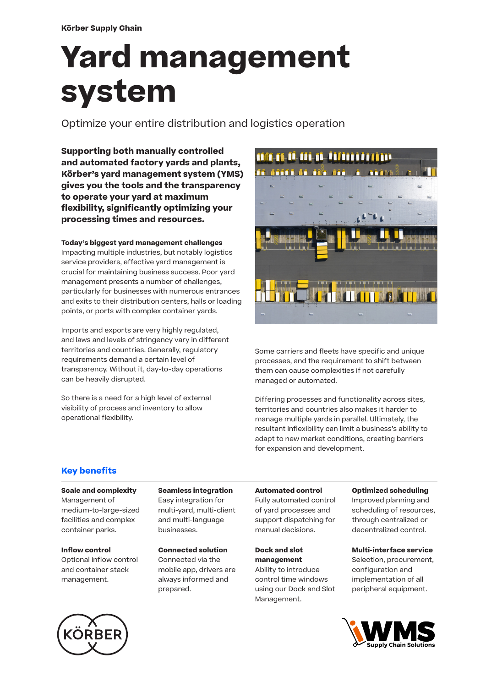# **Yard management system**

Optimize your entire distribution and logistics operation

**Supporting both manually controlled and automated factory yards and plants, Körber's yard management system (YMS) gives you the tools and the transparency to operate your yard at maximum flexibility, significantly optimizing your processing times and resources.**

#### **Today's biggest yard management challenges**

Impacting multiple industries, but notably logistics service providers, effective yard management is crucial for maintaining business success. Poor yard management presents a number of challenges, particularly for businesses with numerous entrances and exits to their distribution centers, halls or loading points, or ports with complex container yards.

Imports and exports are very highly regulated, and laws and levels of stringency vary in different territories and countries. Generally, regulatory requirements demand a certain level of transparency. Without it, day-to-day operations can be heavily disrupted.

So there is a need for a high level of external visibility of process and inventory to allow operational flexibility.



Some carriers and fleets have specific and unique processes, and the requirement to shift between them can cause complexities if not carefully managed or automated.

Differing processes and functionality across sites, territories and countries also makes it harder to manage multiple yards in parallel. Ultimately, the resultant inflexibility can limit a business's ability to adapt to new market conditions, creating barriers for expansion and development.

# **Key benefits**

#### **Scale and complexity**

Management of medium-to-large-sized facilities and complex container parks.

# **Inflow control**

Optional inflow control and container stack management.

**Seamless integration** Easy integration for multi-yard, multi-client and multi-language businesses.

**Connected solution** Connected via the

mobile app, drivers are always informed and prepared.

#### **Automated control**

Fully automated control of yard processes and support dispatching for manual decisions.

**Dock and slot management** Ability to introduce control time windows using our Dock and Slot

Management.

#### **Optimized scheduling**

Improved planning and scheduling of resources, through centralized or decentralized control.

#### **Multi-interface service**

Selection, procurement, configuration and implementation of all peripheral equipment.